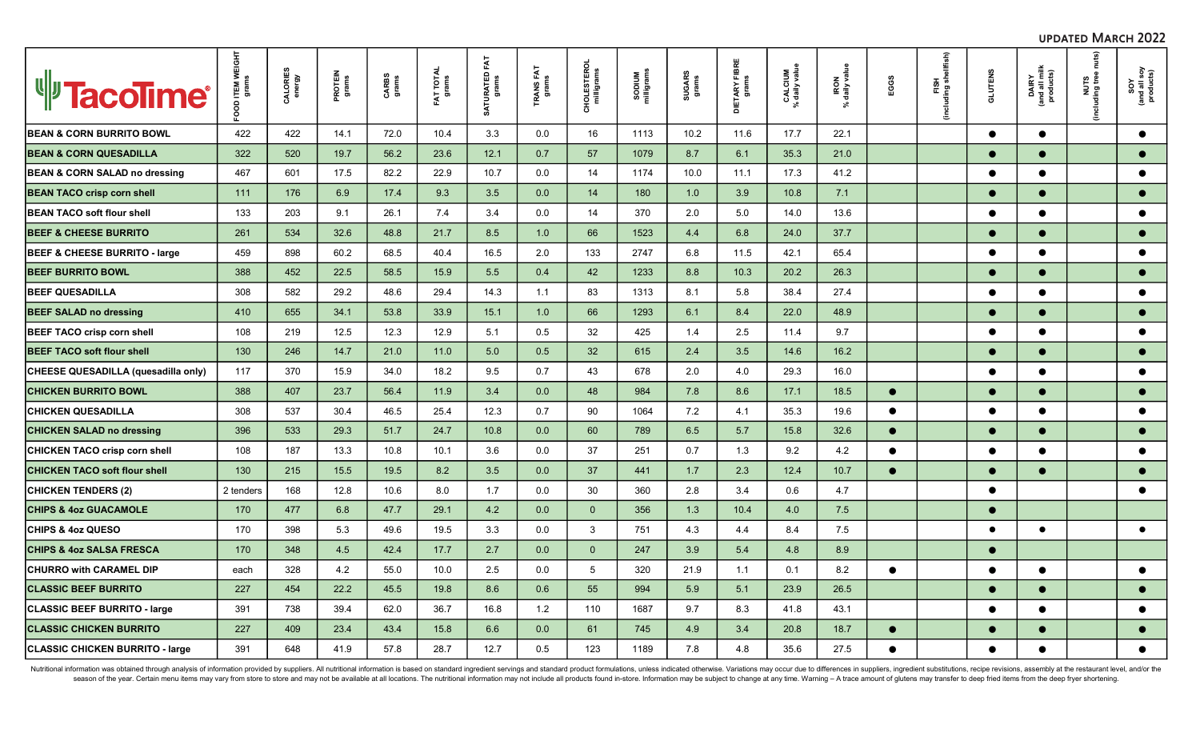| <b>V</b> TacoTime®                       | ITEM W<br>grams | CALORIES<br>energy | PROTEIN<br>grams | CARBS<br>grams | FAT TOTAL<br>grams | FΑT<br>SATURATED<br>grams | TRANS FAT<br>grams | CHOLESTERC<br>milligrams | SODIUM<br>milligrams | SUGARS<br>grams | 뷡<br>DIETARY FIBI<br>grams | CALCIUM<br>% daily value | IRON<br>daily valu<br>$\aleph$ | EGGS      | FISH<br>(including shellfish) | <b>GLUTENS</b> | DAIRY<br>(and all milk)<br>products) | nuts)<br>including tree | SOY<br>(and all soy<br>products) |
|------------------------------------------|-----------------|--------------------|------------------|----------------|--------------------|---------------------------|--------------------|--------------------------|----------------------|-----------------|----------------------------|--------------------------|--------------------------------|-----------|-------------------------------|----------------|--------------------------------------|-------------------------|----------------------------------|
| <b>BEAN &amp; CORN BURRITO BOWL</b>      | 422             | 422                | 14.1             | 72.0           | 10.4               | 3.3                       | 0.0                | 16                       | 1113                 | 10.2            | 11.6                       | 17.7                     | 22.1                           |           |                               | $\bullet$      | $\bullet$                            |                         | $\bullet$                        |
| <b>BEAN &amp; CORN QUESADILLA</b>        | 322             | 520                | 19.7             | 56.2           | 23.6               | 12.1                      | 0.7                | 57                       | 1079                 | 8.7             | 6.1                        | 35.3                     | 21.0                           |           |                               | $\bullet$      | $\bullet$                            |                         | $\bullet$                        |
| BEAN & CORN SALAD no dressing            | 467             | 601                | 17.5             | 82.2           | 22.9               | 10.7                      | 0.0                | 14                       | 1174                 | 10.0            | 11.1                       | 17.3                     | 41.2                           |           |                               | $\bullet$      | $\bullet$                            |                         | $\bullet$                        |
| <b>BEAN TACO crisp corn shell</b>        | 111             | 176                | 6.9              | 17.4           | 9.3                | 3.5                       | 0.0                | 14                       | 180                  | 1.0             | 3.9                        | 10.8                     | 7.1                            |           |                               | $\bullet$      | $\bullet$                            |                         | $\bullet$                        |
| <b>BEAN TACO soft flour shell</b>        | 133             | 203                | 9.1              | 26.1           | 7.4                | 3.4                       | 0.0                | 14                       | 370                  | 2.0             | 5.0                        | 14.0                     | 13.6                           |           |                               | $\bullet$      | $\bullet$                            |                         | $\bullet$                        |
| <b>BEEF &amp; CHEESE BURRITO</b>         | 261             | 534                | 32.6             | 48.8           | 21.7               | 8.5                       | 1.0                | 66                       | 1523                 | 4.4             | 6.8                        | 24.0                     | 37.7                           |           |                               | $\bullet$      | $\bullet$                            |                         | $\bullet$                        |
| <b>BEEF &amp; CHEESE BURRITO - large</b> | 459             | 898                | 60.2             | 68.5           | 40.4               | 16.5                      | 2.0                | 133                      | 2747                 | 6.8             | 11.5                       | 42.1                     | 65.4                           |           |                               | $\bullet$      | $\bullet$                            |                         | $\bullet$                        |
| <b>BEEF BURRITO BOWL</b>                 | 388             | 452                | 22.5             | 58.5           | 15.9               | 5.5                       | 0.4                | 42                       | 1233                 | 8.8             | 10.3                       | 20.2                     | 26.3                           |           |                               | $\bullet$      | $\bullet$                            |                         | $\bullet$                        |
| <b>BEEF QUESADILLA</b>                   | 308             | 582                | 29.2             | 48.6           | 29.4               | 14.3                      | 1.1                | 83                       | 1313                 | 8.1             | 5.8                        | 38.4                     | 27.4                           |           |                               | $\bullet$      | $\bullet$                            |                         | $\bullet$                        |
| <b>BEEF SALAD no dressing</b>            | 410             | 655                | 34.1             | 53.8           | 33.9               | 15.1                      | 1.0                | 66                       | 1293                 | 6.1             | 8.4                        | 22.0                     | 48.9                           |           |                               | $\bullet$      |                                      |                         | $\bullet$                        |
| <b>BEEF TACO crisp corn shell</b>        | 108             | 219                | 12.5             | 12.3           | 12.9               | 5.1                       | 0.5                | 32                       | 425                  | 1.4             | 2.5                        | 11.4                     | 9.7                            |           |                               | $\bullet$      | $\bullet$                            |                         | $\bullet$                        |
| <b>BEEF TACO soft flour shell</b>        | 130             | 246                | 14.7             | 21.0           | 11.0               | 5.0                       | 0.5                | 32                       | 615                  | 2.4             | 3.5                        | 14.6                     | 16.2                           |           |                               | $\bullet$      | $\bullet$                            |                         | $\bullet$                        |
| CHEESE QUESADILLA (quesadilla only)      | 117             | 370                | 15.9             | 34.0           | 18.2               | 9.5                       | 0.7                | 43                       | 678                  | 2.0             | 4.0                        | 29.3                     | 16.0                           |           |                               | $\bullet$      | $\bullet$                            |                         | $\bullet$                        |
| CHICKEN BURRITO BOWL                     | 388             | 407                | 23.7             | 56.4           | 11.9               | 3.4                       | 0.0                | 48                       | 984                  | 7.8             | 8.6                        | 17.1                     | 18.5                           | $\bullet$ |                               | $\bullet$      | $\bullet$                            |                         | $\bullet$                        |
| <b>CHICKEN QUESADILLA</b>                | 308             | 537                | 30.4             | 46.5           | 25.4               | 12.3                      | 0.7                | 90                       | 1064                 | 7.2             | 4.1                        | 35.3                     | 19.6                           | $\bullet$ |                               | $\bullet$      | $\bullet$                            |                         | $\bullet$                        |
| <b>CHICKEN SALAD no dressing</b>         | 396             | 533                | 29.3             | 51.7           | 24.7               | 10.8                      | 0.0                | 60                       | 789                  | 6.5             | 5.7                        | 15.8                     | 32.6                           | $\bullet$ |                               | $\bullet$      | $\bullet$                            |                         | $\bullet$                        |
| <b>CHICKEN TACO crisp corn shell</b>     | 108             | 187                | 13.3             | 10.8           | 10.1               | 3.6                       | 0.0                | 37                       | 251                  | 0.7             | 1.3                        | 9.2                      | 4.2                            | $\bullet$ |                               | $\bullet$      | $\bullet$                            |                         | $\bullet$                        |
| <b>CHICKEN TACO soft flour shell</b>     | 130             | 215                | 15.5             | 19.5           | 8.2                | 3.5                       | 0.0                | 37                       | 441                  | 1.7             | 2.3                        | 12.4                     | 10.7                           | $\bullet$ |                               | $\bullet$      | $\bullet$                            |                         | $\bullet$                        |
| <b>CHICKEN TENDERS (2)</b>               | 2 tenders       | 168                | 12.8             | 10.6           | 8.0                | 1.7                       | 0.0                | 30                       | 360                  | 2.8             | 3.4                        | 0.6                      | 4.7                            |           |                               | $\bullet$      |                                      |                         | $\bullet$                        |
| <b>CHIPS &amp; 4oz GUACAMOLE</b>         | 170             | 477                | 6.8              | 47.7           | 29.1               | 4.2                       | 0.0 <sub>1</sub>   | $\overline{0}$           | 356                  | 1.3             | 10.4                       | 4.0                      | 7.5                            |           |                               | $\bullet$      |                                      |                         |                                  |
| <b>CHIPS &amp; 4oz QUESO</b>             | 170             | 398                | 5.3              | 49.6           | 19.5               | 3.3                       | 0.0                | $\mathbf{3}$             | 751                  | 4.3             | 4.4                        | 8.4                      | 7.5                            |           |                               | $\bullet$      | $\bullet$                            |                         | $\bullet$                        |
| <b>CHIPS &amp; 4oz SALSA FRESCA</b>      | 170             | 348                | 4.5              | 42.4           | 17.7               | 2.7                       | 0.0                | $\overline{0}$           | 247                  | 3.9             | 5.4                        | 4.8                      | 8.9                            |           |                               | $\bullet$      |                                      |                         |                                  |
| <b>CHURRO with CARAMEL DIP</b>           | each            | 328                | 4.2              | 55.0           | 10.0               | 2.5                       | 0.0                | 5                        | 320                  | 21.9            | 1.1                        | 0.1                      | 8.2                            | $\bullet$ |                               | $\bullet$      | $\bullet$                            |                         | $\bullet$                        |
| <b>CLASSIC BEEF BURRITO</b>              | 227             | 454                | 22.2             | 45.5           | 19.8               | 8.6                       | 0.6                | 55                       | 994                  | 5.9             | 5.1                        | 23.9                     | 26.5                           |           |                               | ●              | $\bullet$                            |                         | $\bullet$                        |
| <b>CLASSIC BEEF BURRITO - large</b>      | 391             | 738                | 39.4             | 62.0           | 36.7               | 16.8                      | 1.2                | 110                      | 1687                 | 9.7             | 8.3                        | 41.8                     | 43.1                           |           |                               | $\bullet$      | $\bullet$                            |                         | $\bullet$                        |
| <b>CLASSIC CHICKEN BURRITO</b>           | 227             | 409                | 23.4             | 43.4           | 15.8               | 6.6                       | 0.0                | 61                       | 745                  | 4.9             | 3.4                        | 20.8                     | 18.7                           | $\bullet$ |                               | $\bullet$      | $\bullet$                            |                         | $\bullet$                        |
| <b>CLASSIC CHICKEN BURRITO - large</b>   | 391             | 648                | 41.9             | 57.8           | 28.7               | 12.7                      | 0.5                | 123                      | 1189                 | 7.8             | 4.8                        | 35.6                     | 27.5                           | $\bullet$ |                               | $\bullet$      | $\bullet$                            |                         | $\bullet$                        |

updated March 2022

Nutritional information was obtained through analysis of information provided by suppliers. All nutritional information is based on standard ingredient servings and standard product formulations, unless indicated otherwise season of the year. Certain menu items may vary from store to store and may not be available at all locations. The nutritional information may not include all products found in-store. Information may be subject to change a